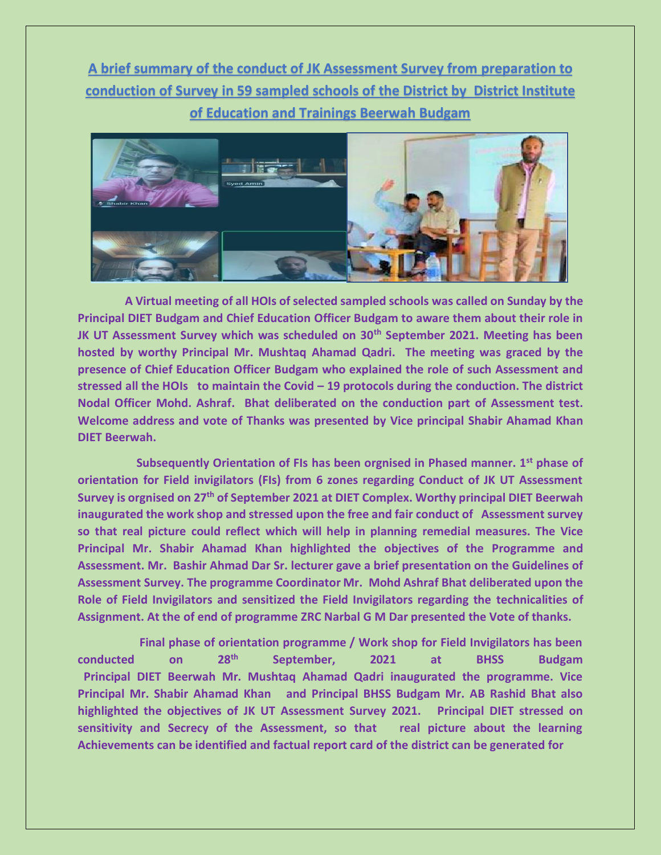**A brief summary of the conduct of JK Assessment Survey from preparation to conduction of Survey in 59 sampled schools of the District by District Institute of Education and Trainings Beerwah Budgam**



 **A Virtual meeting of all HOIs of selected sampled schools was called on Sunday by the Principal DIET Budgam and Chief Education Officer Budgam to aware them about their role in JK UT Assessment Survey which was scheduled on 30th September 2021. Meeting has been hosted by worthy Principal Mr. Mushtaq Ahamad Qadri. The meeting was graced by the presence of Chief Education Officer Budgam who explained the role of such Assessment and stressed all the HOIs to maintain the Covid – 19 protocols during the conduction. The district Nodal Officer Mohd. Ashraf. Bhat deliberated on the conduction part of Assessment test. Welcome address and vote of Thanks was presented by Vice principal Shabir Ahamad Khan DIET Beerwah.**

 **Subsequently Orientation of FIs has been orgnised in Phased manner. 1st phase of orientation for Field invigilators (FIs) from 6 zones regarding Conduct of JK UT Assessment Survey is orgnised on 27th of September 2021 at DIET Complex. Worthy principal DIET Beerwah inaugurated the work shop and stressed upon the free and fair conduct of Assessment survey so that real picture could reflect which will help in planning remedial measures. The Vice Principal Mr. Shabir Ahamad Khan highlighted the objectives of the Programme and Assessment. Mr. Bashir Ahmad Dar Sr. lecturer gave a brief presentation on the Guidelines of Assessment Survey. The programme Coordinator Mr. Mohd Ashraf Bhat deliberated upon the Role of Field Invigilators and sensitized the Field Invigilators regarding the technicalities of Assignment. At the of end of programme ZRC Narbal G M Dar presented the Vote of thanks.**

 **Final phase of orientation programme / Work shop for Field Invigilators has been conducted on 28th September, 2021 at BHSS Budgam Principal DIET Beerwah Mr. Mushtaq Ahamad Qadri inaugurated the programme. Vice Principal Mr. Shabir Ahamad Khan and Principal BHSS Budgam Mr. AB Rashid Bhat also highlighted the objectives of JK UT Assessment Survey 2021. Principal DIET stressed on sensitivity and Secrecy of the Assessment, so that real picture about the learning Achievements can be identified and factual report card of the district can be generated for**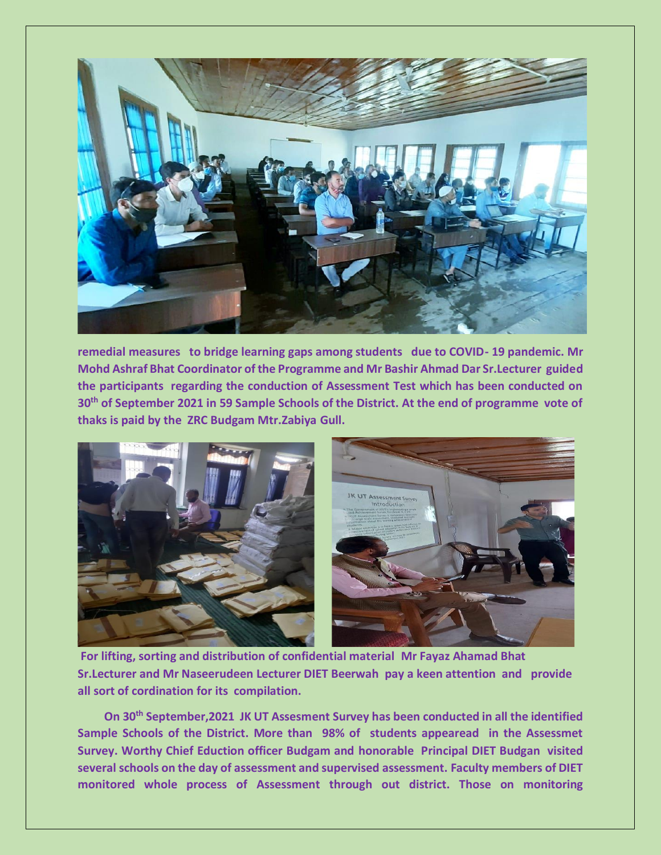

**remedial measures to bridge learning gaps among students due to COVID- 19 pandemic. Mr Mohd Ashraf Bhat Coordinator of the Programme and Mr Bashir Ahmad Dar Sr.Lecturer guided the participants regarding the conduction of Assessment Test which has been conducted on 30th of September 2021 in 59 Sample Schools of the District. At the end of programme vote of thaks is paid by the ZRC Budgam Mtr.Zabiya Gull.**



**For lifting, sorting and distribution of confidential material Mr Fayaz Ahamad Bhat Sr.Lecturer and Mr Naseerudeen Lecturer DIET Beerwah pay a keen attention and provide all sort of cordination for its compilation.**

 **On 30th September,2021 JK UT Assesment Survey has been conducted in all the identified Sample Schools of the District. More than 98% of students appearead in the Assessmet Survey. Worthy Chief Eduction officer Budgam and honorable Principal DIET Budgan visited several schools on the day of assessment and supervised assessment. Faculty members of DIET monitored whole process of Assessment through out district. Those on monitoring**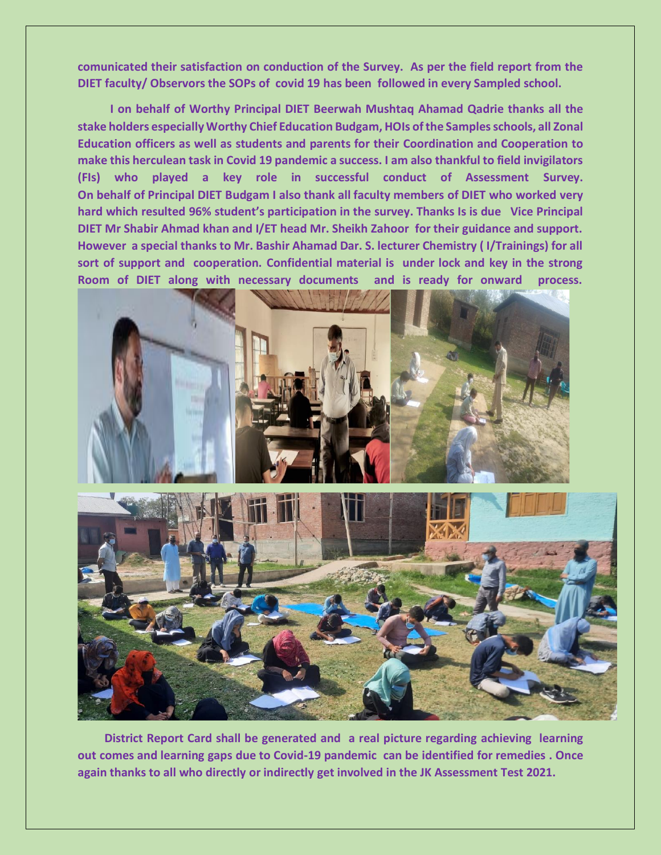**comunicated their satisfaction on conduction of the Survey. As per the field report from the DIET faculty/ Observors the SOPs of covid 19 has been followed in every Sampled school.**

 **I on behalf of Worthy Principal DIET Beerwah Mushtaq Ahamad Qadrie thanks all the stake holders especially Worthy Chief Education Budgam, HOIs of the Samples schools, all Zonal Education officers as well as students and parents for their Coordination and Cooperation to make this herculean task in Covid 19 pandemic a success. I am also thankful to field invigilators (FIs) who played a key role in successful conduct of Assessment Survey. On behalf of Principal DIET Budgam I also thank all faculty members of DIET who worked very hard which resulted 96% student's participation in the survey. Thanks Is is due Vice Principal DIET Mr Shabir Ahmad khan and I/ET head Mr. Sheikh Zahoor for their guidance and support. However a special thanks to Mr. Bashir Ahamad Dar. S. lecturer Chemistry ( I/Trainings) for all sort of support and cooperation. Confidential material is under lock and key in the strong Room of DIET along with necessary documents and is ready for onward process.**





 **District Report Card shall be generated and a real picture regarding achieving learning out comes and learning gaps due to Covid-19 pandemic can be identified for remedies . Once again thanks to all who directly or indirectly get involved in the JK Assessment Test 2021.**